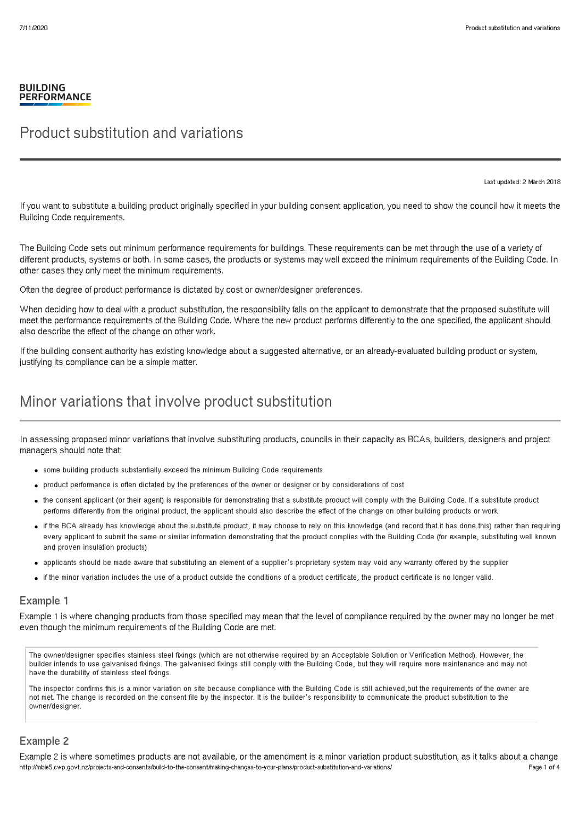#### **BUILDING PERFORMANCE**

### Product substitution and variations

Last updated: 2 March 2018

If you want to substitute a building product originally specified in your building consent application, you need to show the council how it meets the Building Code requirements.

The Building Code sets out minimum performance requirements for buildings. These requirements can be met through the use of a variety of different products, systems or both. In some cases, the products or systems may well exceed the minimum requirements of the Building Code. In other cases they only meet the minimum requirements.

Often the degree of product performance is dictated by cost or owner/designer preferences.

When deciding how to deal with a product substitution, the responsibility falls on the applicant to demonstrate that the proposed substitute will meet the performance requirements of the Building Code. Where the new product performs differently to the one specified, the applicant should also describe the effect of the change on other work.

If the building consent authority has existing knowledge about a suggested alternative, or an already-evaluated building product or system, justifying its compliance can be a simple matter.

## Minor variations that involve product substitution

In assessing proposed minor variations that involve substituting products, councils in their capacity as BCAs, builders, designers and project managers should note that:

- some building products substantially exceed the minimum Building Code requirements
- product performance is often dictated by the preferences of the owner or designer or by considerations of cost
- the consent applicant (or their agent) is responsible for demonstrating that a substitute product will comply with the Building Code. If a substitute product performs differently from the original product, the applicant should also describe the effect of the change on other building products or work
- if the BCA already has knowledge about the substitute product, it may choose to rely on this knowledge (and record that it has done this) rather than requiring every applicant to submit the same or similar information demonstrating that the product complies with the Building Code (for example, substituting well known and proven insulation products)
- applicants should be made aware that substituting an element of a supplier's proprietary system may void any warranty offered by the supplier
- if the minor variation includes the use of a product outside the conditions of a product certificate, the product certificate is no longer valid.

### Example 1

Example 1 is where changing products from those specified may mean that the level of compliance required by the owner may no longer be met even though the minimum requirements of the Building Code are met.

The owner/designer specifies stainless steel fixings (which are not otherwise required by an Acceptable Solution or Verification Method). However, the builder intends to use galvanised fixings. The galvanised fixings still comply with the Building Code, but they will require more maintenance and may not have the durability of stainless steel fixings.

The inspector confirms this is a minor variation on site because compliance with the Building Code is still achieved,but the requirements of the owner are not met. The change is recorded on the consent file by the inspector. It is the builder's responsibility to communicate the product substitution to the owner/designer.

### Example 2

Example 2 is where sometimes products are not available, or the amendment is a minor variation product substitution, as it talks about a change http://mbie5.cwp.govt.nz/projects-and-consents/build-to-the-consent/making-changes-to-your-plans/product-substitution-and-variations/ Page 1 of 4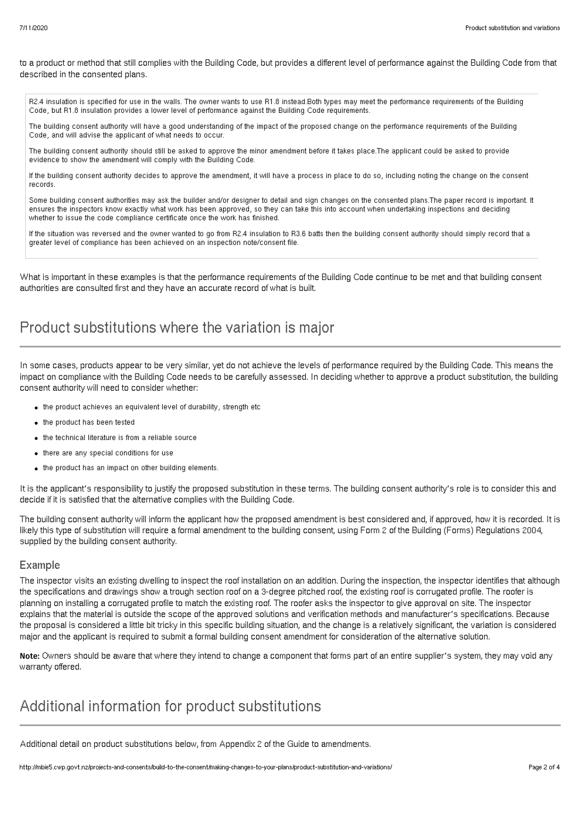to a product or method that still complies with the Building Code, but provides a different level of performance against the Building Code from that described in the consented plans.

R2.4 insulation is specified for use in the walls. The owner wants to use R1.8 instead.Both types may meet the performance requirements of the Building Code, but R1.8 insulation provides a lower level of performance against the Building Code requirements.

The building consent authority will have a good understanding of the impact of the proposed change on the performance requirements of the Building Code, and will advise the applicant of what needs to occur.

The building consent authority should still be asked to approve the minor amendment before it takes place.The applicant could be asked to provide evidence to show the amendment will comply with the Building Code.

If the building consent authority decides to approve the amendment, it will have a process in place to do so, including noting the change on the consent records.

Some building consent authorities may ask the builder and/or designer to detail and sign changes on the consented plans.The paper record is important. It ensures the inspectors know exactly what work has been approved, so they can take this into account when undertaking inspections and deciding whether to issue the code compliance certificate once the work has finished.

If the situation was reversed and the owner wanted to go from R2.4 insulation to R3.6 batts then the building consent authority should simply record that a greater level of compliance has been achieved on an inspection note/consent file.

What is important in these examples is that the performance requirements of the Building Code continue to be met and that building consent authorities are consulted first and they have an accurate record of what is built.

## Product substitutions where the variation is major

In some cases, products appear to be very similar, yet do not achieve the levels of performance required by the Building Code. This means the impact on compliance with the Building Code needs to be carefully assessed. In deciding whether to approve a product substitution, the building consent authority will need to consider whether:

- the product achieves an equivalent level of durability, strength etc
- the product has been tested
- the technical literature is from a reliable source
- there are any special conditions for use
- the product has an impact on other building elements.

It is the applicant's responsibility to justify the proposed substitution in these terms. The building consent authority's role is to consider this and decide if it is satisfied that the alternative complies with the Building Code.

The building consent authority will inform the applicant how the proposed amendment is best considered and, if approved, how it is recorded. It is likely this type of substitution will require a formal amendment to the building consent, using Form 2 of the Building (Forms) Regulations 2004, supplied by the building consent authority.

### Example

The inspector visits an existing dwelling to inspect the roof installation on an addition. During the inspection, the inspector identifies that although the specifications and drawings show a trough section roof on a 3-degree pitched roof, the existing roof is corrugated profile. The roofer is planning on installing a corrugated profile to match the existing roof. The roofer asks the inspector to give approval on site. The inspector explains that the material is outside the scope of the approved solutions and verification methods and manufacturer's specifications. Because the proposal is considered a little bit tricky in this specific building situation, and the change is a relatively significant, the variation is considered major and the applicant is required to submit a formal building consent amendment for consideration of the alternative solution.

Note: Owners should be aware that where they intend to change a component that forms part of an entire supplier's system, they may void any warranty offered.

## Additional information for product substitutions

Additional detail on product substitutions below, from Appendix 2 of the Guide to amendments.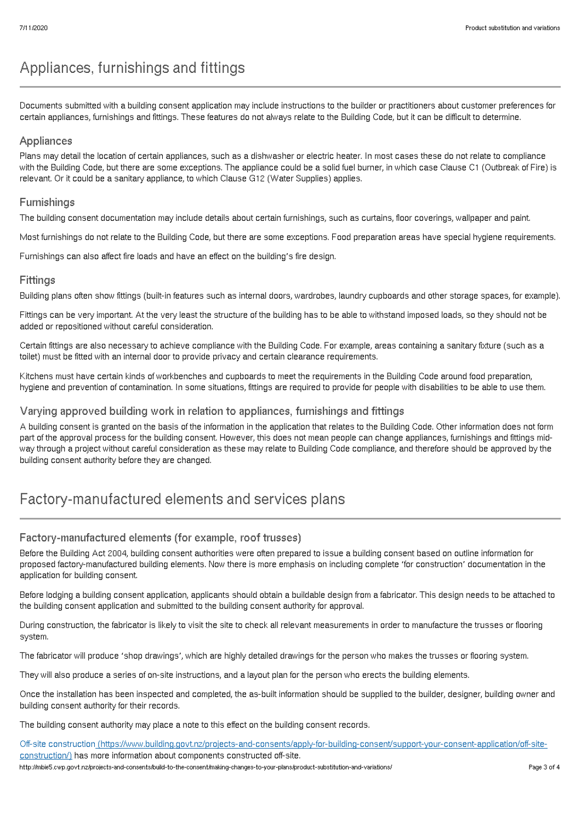# Appliances, furnishings and fittings

Documents submitted with a building consent application may include instructions to the builder or practitioners about customer preferences for certain appliances, furnishings and fittings. These features do not always relate to the Building Code, but it can be difficult to determine.

### Appliances

Plans may detail the location of certain appliances, such as a dishwasher or electric heater. In most cases these do not relate to compliance with the Building Code, but there are some exceptions. The appliance could be a solid fuel burner, in which case Clause C1 (Outbreak of Fire) is relevant. Or it could be a sanitary appliance, to which Clause G12 (Water Supplies) applies.

### Furnishings

The building consent documentation may include details about certain furnishings, such as curtains, floor coverings, wallpaper and paint.

Most furnishings do not relate to the Building Code, but there are some exceptions. Food preparation areas have special hygiene requirements.

Furnishings can also affect fire loads and have an effect on the building's fire design.

### Fittings

Building plans often show fittings (built-in features such as internal doors, wardrobes, laundry cupboards and other storage spaces, for example).

Fittings can be very important. At the very least the structure of the building has to be able to withstand imposed loads, so they should not be added or repositioned without careful consideration.

Certain fittings are also necessary to achieve compliance with the Building Code. For example, areas containing a sanitary fixture (such as a toilet) must be fitted with an internal door to provide privacy and certain clearance requirements.

Kitchens must have certain kinds of workbenches and cupboards to meet the requirements in the Building Code around food preparation, hygiene and prevention of contamination. In some situations, fittings are required to provide for people with disabilities to be able to use them.

### Varying approved building work in relation to appliances, furnishings and fittings

A building consent is granted on the basis of the information in the application that relates to the Building Code. Other information does not form part of the approval process for the building consent. However, this does not mean people can change appliances, furnishings and fittings midway through a project without careful consideration as these may relate to Building Code compliance, and therefore should be approved by the building consent authority before they are changed.

## Factory-manufactured elements and services plans

### Factory-manufactured elements (for example, roof trusses)

Before the Building Act 2004, building consent authorities were often prepared to issue a building consent based on outline information for proposed factory-manufactured building elements. Now there is more emphasis on including complete 'for construction' documentation in the application for building consent.

Before lodging a building consent application, applicants should obtain a buildable design from a fabricator. This design needs to be attached to the building consent application and submitted to the building consent authority for approval.

During construction, the fabricator is likely to visit the site to check all relevant measurements in order to manufacture the trusses or flooring system.

The fabricator will produce 'shop drawings', which are highly detailed drawings for the person who makes the trusses or flooring system.

They will also produce a series of on-site instructions, and a layout plan for the person who erects the building elements.

Once the installation has been inspected and completed, the as-built information should be supplied to the builder, designer, building owner and building consent authority for their records.

The building consent authority may place a note to this effect on the building consent records.

Off-site construction [\(https://www.building.govt.nz/projects-and-consents/apply-for-building-consent/support-your-consent-application/off-site](http://mbie5.cwp.govt.nz/projects-and-consents/apply-for-building-consent/support-your-consent-application/off-site-construction/)construction/) has more information about components constructed off-site. http://mbie5.cwp.govt.nz/projects-and-consents/build-to-the-consent/making-changes-to-your-plans/product-substitution-and-variations/ Page 3 of 4